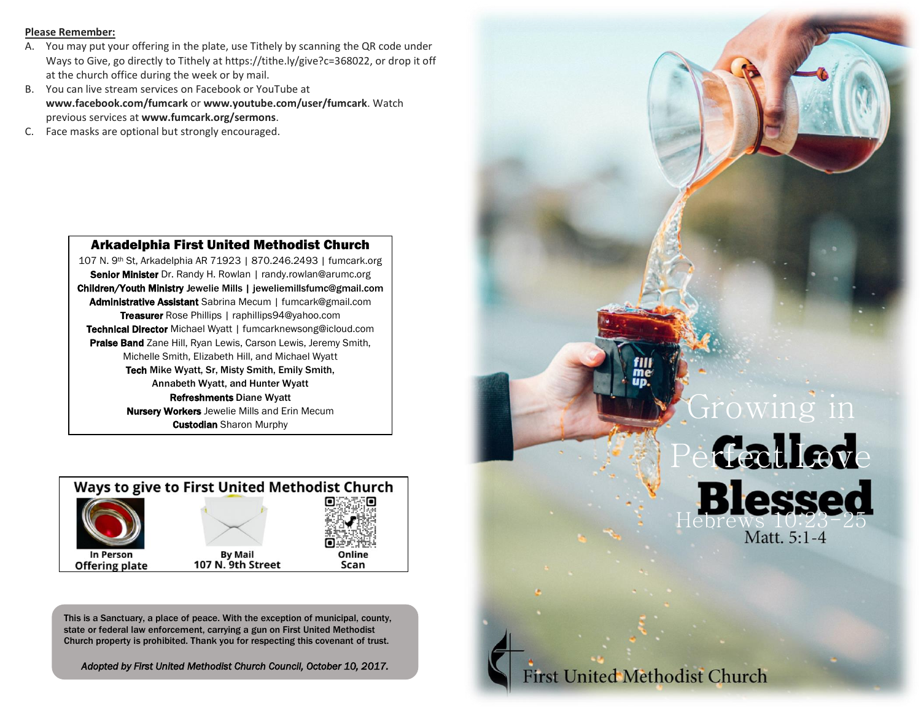#### **Please Remember:**

- A. You may put your offering in the plate, use Tithely by scanning the QR code under Ways to Give, go directly to Tithely at https://tithe.ly/give?c=368022, or drop it off at the church office during the week or by mail.
- B. You can live stream services on Facebook or YouTube at **www.facebook.com/fumcark** or **www.youtube.com/user/fumcark**. Watch previous services at **www.fumcark.org/sermons**.
- C. Face masks are optional but strongly encouraged.

## Arkadelphia First United Methodist Church

107 N. 9th St, Arkadelphia AR 71923 | 870.246.2493 | fumcark.org Senior Minister Dr. Randy H. Rowlan | randy.rowlan@arumc.org Children/Youth Ministry Jewelie Mills | jeweliemillsfumc@gmail.com Administrative Assistant Sabrina Mecum | fumcark@gmail.com Treasurer Rose Phillips | raphillips94@yahoo.com Technical Director Michael Wyatt | fumcarknewsong@icloud.com Praise Band Zane Hill, Ryan Lewis, Carson Lewis, Jeremy Smith, Michelle Smith, Elizabeth Hill, and Michael Wyatt Tech Mike Wyatt, Sr, Misty Smith, Emily Smith, Annabeth Wyatt, and Hunter Wyatt Refreshments Diane Wyatt **Nursery Workers** Jewelie Mills and Erin Mecum **Custodian** Sharon Murphy



This is a Sanctuary, a place of peace. With the exception of municipal, county, state or federal law enforcement, carrying a gun on First United Methodist Church property is prohibited. Thank you for respecting this covenant of trust.

*Adopted by First United Methodist Church Council, October 10, 2017.*



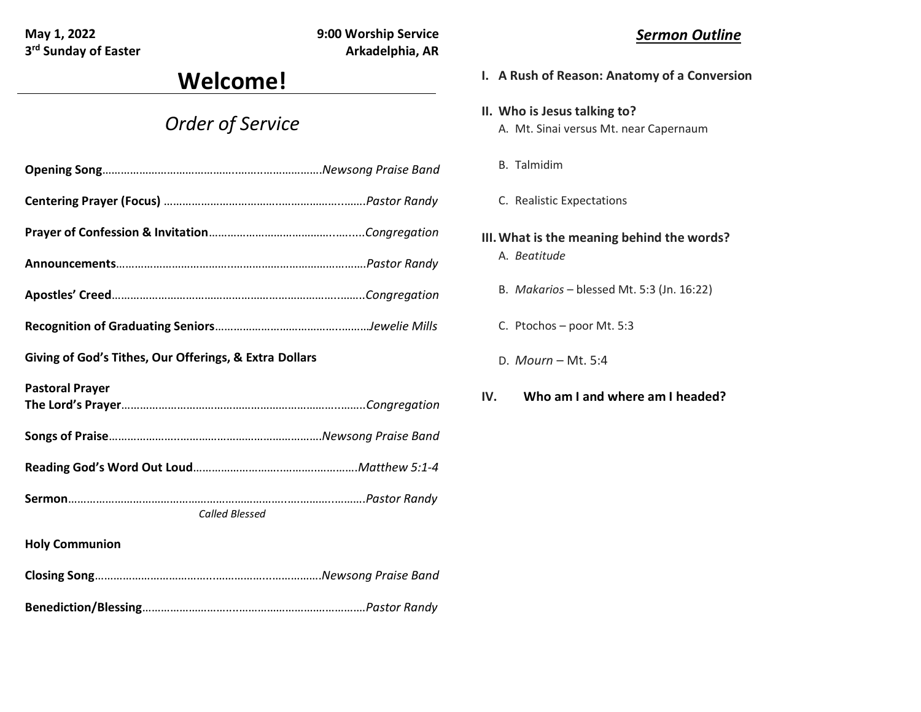**3<sup>rd</sup> Sunday of Easter Arkadelphia, AR** 

**May 1, 2022 9:00 Worship Service**

# **Welcome!**

## *Order of Service*

| Giving of God's Tithes, Our Offerings, & Extra Dollars |  |
|--------------------------------------------------------|--|
| <b>Pastoral Prayer</b>                                 |  |
|                                                        |  |
|                                                        |  |
| <b>Called Blessed</b>                                  |  |
| <b>Holy Communion</b>                                  |  |
|                                                        |  |
|                                                        |  |

## *Sermon Outline*

- **I. A Rush of Reason: Anatomy of a Conversion**
- **II. Who is Jesus talking to?** A. Mt. Sinai versus Mt. near Capernaum
	- B. Talmidim
	- C. Realistic Expectations
- **III.What is the meaning behind the words?** A. *Beatitude*
	- B. *Makarios*  blessed Mt. 5:3 (Jn. 16:22)
	- C. Ptochos poor Mt. 5:3
	- D. *Mourn* Mt. 5:4
- **IV. Who am I and where am I headed?**